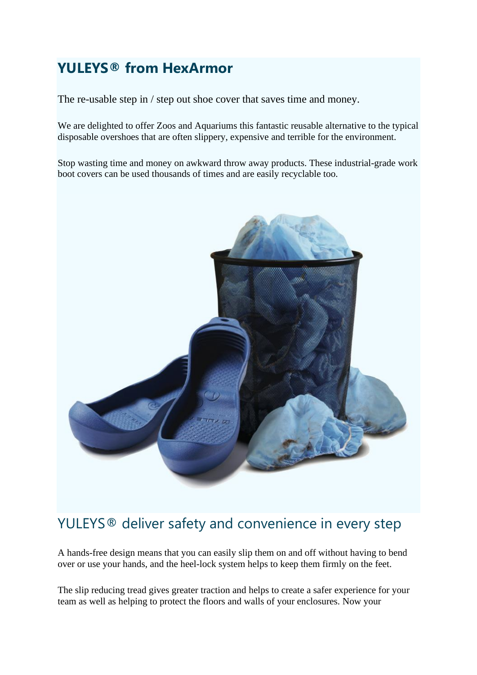## **YULEYS® from HexArmor**

The re-usable step in / step out shoe cover that saves time and money.

We are delighted to offer Zoos and Aquariums this fantastic reusable alternative to the typical disposable overshoes that are often slippery, expensive and terrible for the environment.

Stop wasting time and money on awkward throw away products. These industrial-grade work boot covers can be used thousands of times and are easily recyclable too.



## YULEYS<sup>®</sup> deliver safety and convenience in every step

A hands-free design means that you can easily slip them on and off without having to bend over or use your hands, and the heel-lock system helps to keep them firmly on the feet.

The slip reducing tread gives greater traction and helps to create a safer experience for your team as well as helping to protect the floors and walls of your enclosures. Now your